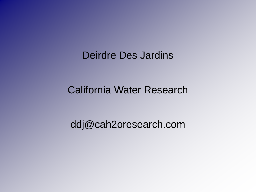Deirdre Des Jardins

#### California Water Research

ddj@cah2oresearch.com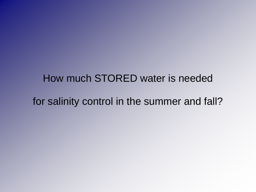# How much STORED water is needed for salinity control in the summer and fall?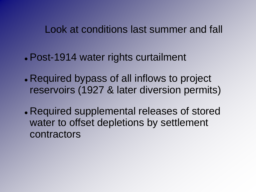Look at conditions last summer and fall

- Post-1914 water rights curtailment
- Required bypass of all inflows to project reservoirs (1927 & later diversion permits)
- Required supplemental releases of stored water to offset depletions by settlement contractors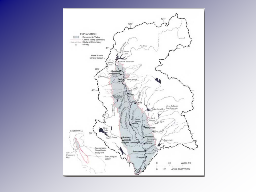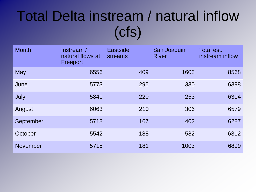# Total Delta instream / natural inflow (cfs)

| <b>Month</b> | Instream /<br>natural flows at<br>Freeport | <b>Eastside</b><br>streams | San Joaquin<br><b>River</b> | Total est.<br>instream inflow |
|--------------|--------------------------------------------|----------------------------|-----------------------------|-------------------------------|
| May          | 6556                                       | 409                        | 1603                        | 8568                          |
| June         | 5773                                       | 295                        | 330                         | 6398                          |
| July         | 5841                                       | 220                        | 253                         | 6314                          |
| August       | 6063                                       | 210                        | 306                         | 6579                          |
| September    | 5718                                       | 167                        | 402                         | 6287                          |
| October      | 5542                                       | 188                        | 582                         | 6312                          |
| November     | 5715                                       | 181                        | 1003                        | 6899                          |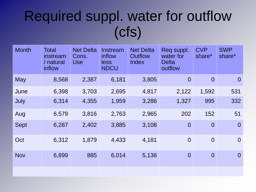# Required suppl. water for outflow (cfs)

| <b>Month</b> | Total<br>instream<br>/ natural<br>inflow | <b>Net Delta</b><br>Cons.<br><b>Use</b> | Instream<br>inflow<br>less<br><b>NDCU</b> | <b>Net Delta</b><br>Outflow<br>Index | Reg suppl.<br>water for<br><b>Delta</b><br>outflow | <b>CVP</b><br>share* | <b>SWP</b><br>share* |
|--------------|------------------------------------------|-----------------------------------------|-------------------------------------------|--------------------------------------|----------------------------------------------------|----------------------|----------------------|
| <b>May</b>   | 8,568                                    | 2,387                                   | 6,181                                     | 3,805                                | $\overline{0}$                                     | $\overline{0}$       | $\overline{0}$       |
| June         | 6,398                                    | 3,703                                   | 2,695                                     | 4,817                                | 2,122                                              | 1,592                | 531                  |
| July         | 6,314                                    | 4,355                                   | 1,959                                     | 3,286                                | 1,327                                              | 995                  | 332                  |
| Aug          | 6,579                                    | 3,816                                   | 2,763                                     | 2,965                                | 202                                                | 152                  | 51                   |
| <b>Sept</b>  | 6,287                                    | 2,402                                   | 3,885                                     | 3,108                                | $\overline{0}$                                     | $\overline{0}$       | $\overline{0}$       |
| Oct          | 6,312                                    | 1,879                                   | 4,433                                     | 4,181                                | $\overline{0}$                                     | $\overline{0}$       | $\overline{0}$       |
| <b>Nov</b>   | 6,899                                    | 885                                     | 6,014                                     | 5,136                                | $\overline{0}$                                     | $\overline{0}$       | $\overline{0}$       |
|              |                                          |                                         |                                           |                                      |                                                    |                      |                      |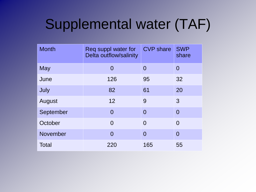# Supplemental water (TAF)

| <b>Month</b> | Req suppl water for<br>Delta outflow/salinity | <b>CVP</b> share | <b>SWP</b><br>share |
|--------------|-----------------------------------------------|------------------|---------------------|
| <b>May</b>   | $\overline{0}$                                | $\overline{0}$   | $\overline{0}$      |
| June         | 126                                           | 95               | 32                  |
| July         | 82                                            | 61               | 20                  |
| August       | 12                                            | 9                | 3                   |
| September    | $\overline{0}$                                | $\overline{0}$   | $\overline{0}$      |
| October      | $\Omega$                                      | $\Omega$         | $\Omega$            |
| November     | $\Omega$                                      | $\Omega$         | $\Omega$            |
| <b>Total</b> | 220                                           | 165              | 55                  |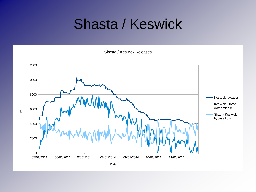#### Shasta / Keswick

Shasta / Keswick Releases



Date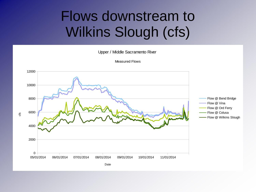## Flows downstream to Wilkins Slough (cfs)

Upper / Middle Sacramento River



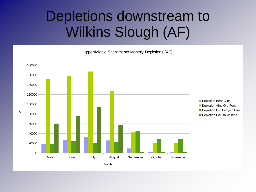## Depletions downstream to Wilkins Slough (AF)

Upper/Middle Sacramento Monthly Depletions (AF)

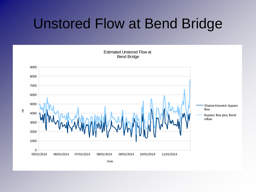#### Unstored Flow at Bend Bridge

05/01/2014 06/01/2014 07/01/2014 08/01/2014 09/01/2014 10/01/2014 11/01/2014  $0 -$ 1000 2000 3000 4000 5000 6000 7000 8000 9000 Estimated Unstored Flow at Bend Bridge Shasta-Keswick bypass flow Bypass flow plus Bend inflow Date cfs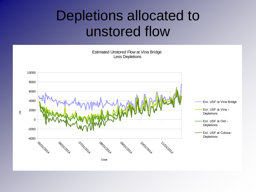#### Depletions allocated to unstored flow

Estimated Unstored Flow at Vina Bridge Less Depletions

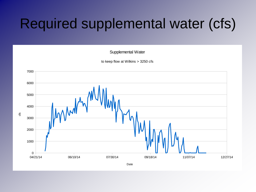### Required supplemental water (cfs)

Supplemental Water

to keep flow at Wilkins > 3250 cfs



Date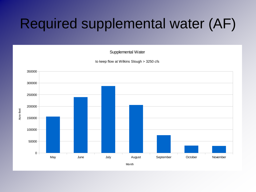## Required supplemental water (AF)

Supplemental Water

to keep flow at Wilkins Slough > 3250 cfs



Month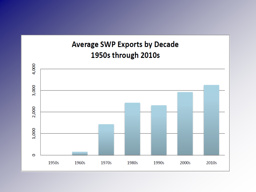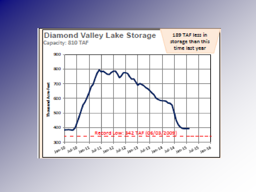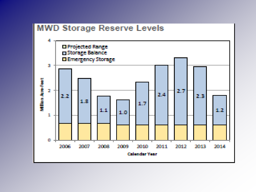